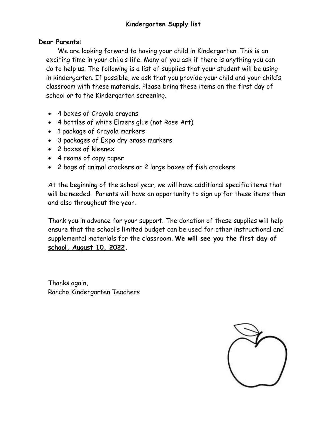## **Dear Parents:**

We are looking forward to having your child in Kindergarten. This is an exciting time in your child's life. Many of you ask if there is anything you can do to help us. The following is a list of supplies that your student will be using in kindergarten. If possible, we ask that you provide your child and your child's classroom with these materials. Please bring these items on the first day of school or to the Kindergarten screening.

- 4 boxes of Crayola crayons
- 4 bottles of white Elmers glue (not Rose Art)
- 1 package of Crayola markers
- 3 packages of Expo dry erase markers
- 2 boxes of kleenex
- 4 reams of copy paper
- 2 bags of animal crackers or 2 large boxes of fish crackers

At the beginning of the school year, we will have additional specific items that will be needed. Parents will have an opportunity to sign up for these items then and also throughout the year.

Thank you in advance for your support. The donation of these supplies will help ensure that the school's limited budget can be used for other instructional and supplemental materials for the classroom. **We will see you the first day of school, August 10, 2022.**

Thanks again, Rancho Kindergarten Teachers